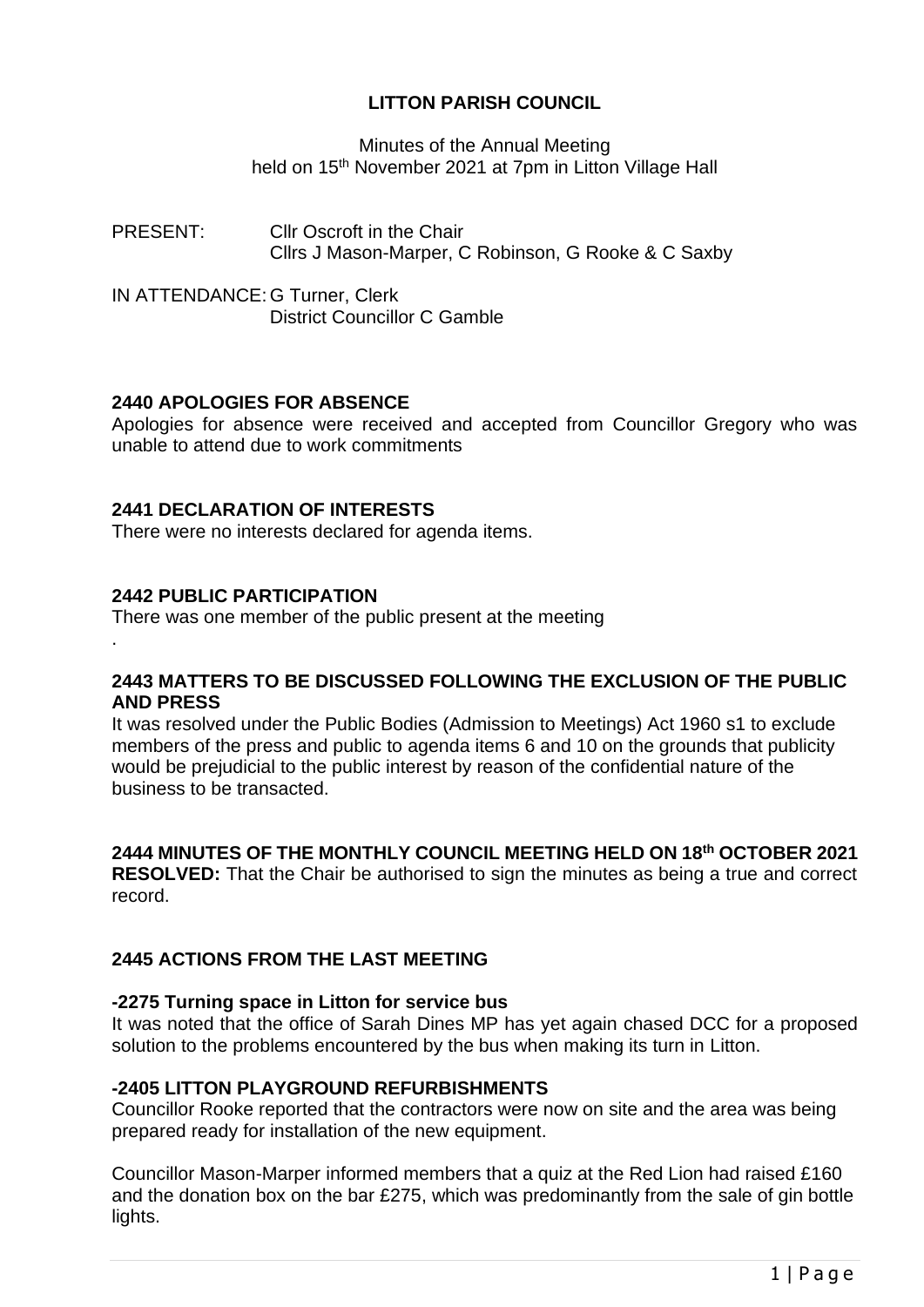# **LITTON PARISH COUNCIL**

Minutes of the Annual Meeting held on 15 th November 2021 at 7pm in Litton Village Hall

PRESENT: Cllr Oscroft in the Chair Cllrs J Mason-Marper, C Robinson, G Rooke & C Saxby

IN ATTENDANCE: G Turner, Clerk District Councillor C Gamble

## **2440 APOLOGIES FOR ABSENCE**

Apologies for absence were received and accepted from Councillor Gregory who was unable to attend due to work commitments

## **2441 DECLARATION OF INTERESTS**

There were no interests declared for agenda items.

## **2442 PUBLIC PARTICIPATION**

.

There was one member of the public present at the meeting

#### **2443 MATTERS TO BE DISCUSSED FOLLOWING THE EXCLUSION OF THE PUBLIC AND PRESS**

It was resolved under the Public Bodies (Admission to Meetings) Act 1960 s1 to exclude members of the press and public to agenda items 6 and 10 on the grounds that publicity would be prejudicial to the public interest by reason of the confidential nature of the business to be transacted.

## **2444 MINUTES OF THE MONTHLY COUNCIL MEETING HELD ON 18th OCTOBER 2021**

**RESOLVED:** That the Chair be authorised to sign the minutes as being a true and correct record.

# **2445 ACTIONS FROM THE LAST MEETING**

## **-2275 Turning space in Litton for service bus**

It was noted that the office of Sarah Dines MP has yet again chased DCC for a proposed solution to the problems encountered by the bus when making its turn in Litton.

## **-2405 LITTON PLAYGROUND REFURBISHMENTS**

Councillor Rooke reported that the contractors were now on site and the area was being prepared ready for installation of the new equipment.

Councillor Mason-Marper informed members that a quiz at the Red Lion had raised £160 and the donation box on the bar £275, which was predominantly from the sale of gin bottle lights.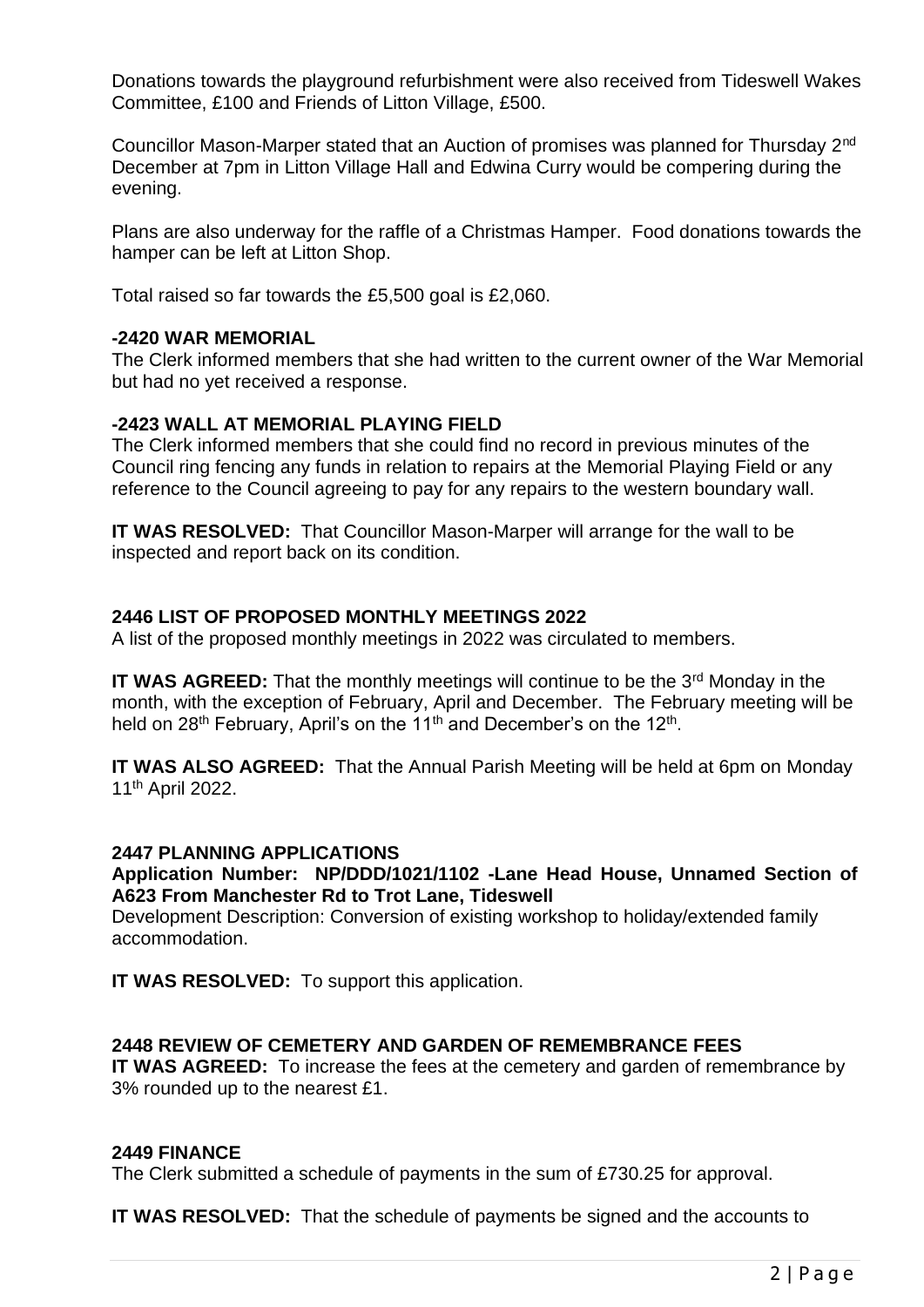Donations towards the playground refurbishment were also received from Tideswell Wakes Committee, £100 and Friends of Litton Village, £500.

Councillor Mason-Marper stated that an Auction of promises was planned for Thursday 2nd December at 7pm in Litton Village Hall and Edwina Curry would be compering during the evening.

Plans are also underway for the raffle of a Christmas Hamper. Food donations towards the hamper can be left at Litton Shop.

Total raised so far towards the £5,500 goal is £2,060.

#### **-2420 WAR MEMORIAL**

The Clerk informed members that she had written to the current owner of the War Memorial but had no yet received a response.

#### **-2423 WALL AT MEMORIAL PLAYING FIELD**

The Clerk informed members that she could find no record in previous minutes of the Council ring fencing any funds in relation to repairs at the Memorial Playing Field or any reference to the Council agreeing to pay for any repairs to the western boundary wall.

**IT WAS RESOLVED:** That Councillor Mason-Marper will arrange for the wall to be inspected and report back on its condition.

#### **2446 LIST OF PROPOSED MONTHLY MEETINGS 2022**

A list of the proposed monthly meetings in 2022 was circulated to members.

**IT WAS AGREED:** That the monthly meetings will continue to be the 3<sup>rd</sup> Monday in the month, with the exception of February, April and December. The February meeting will be held on 28<sup>th</sup> February, April's on the 11<sup>th</sup> and December's on the 12<sup>th</sup>.

**IT WAS ALSO AGREED:** That the Annual Parish Meeting will be held at 6pm on Monday 11th April 2022.

#### **2447 PLANNING APPLICATIONS**

**Application Number: NP/DDD/1021/1102 -Lane Head House, Unnamed Section of A623 From Manchester Rd to Trot Lane, Tideswell**

Development Description: Conversion of existing workshop to holiday/extended family accommodation.

**IT WAS RESOLVED:** To support this application.

#### **2448 REVIEW OF CEMETERY AND GARDEN OF REMEMBRANCE FEES**

**IT WAS AGREED:** To increase the fees at the cemetery and garden of remembrance by 3% rounded up to the nearest £1.

#### **2449 FINANCE**

The Clerk submitted a schedule of payments in the sum of £730.25 for approval.

**IT WAS RESOLVED:** That the schedule of payments be signed and the accounts to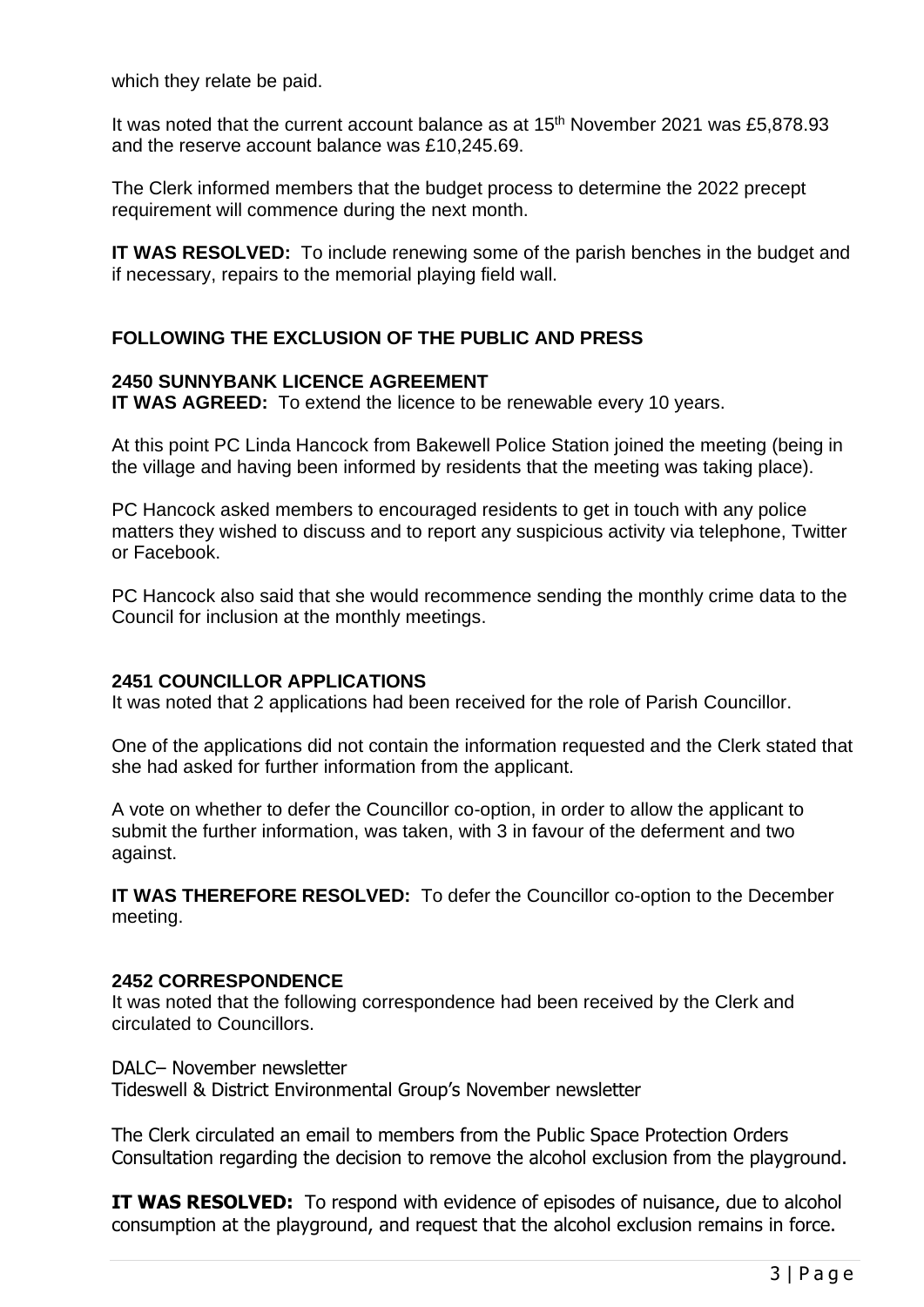which they relate be paid.

It was noted that the current account balance as at  $15<sup>th</sup>$  November 2021 was £5,878.93 and the reserve account balance was £10,245.69.

The Clerk informed members that the budget process to determine the 2022 precept requirement will commence during the next month.

**IT WAS RESOLVED:** To include renewing some of the parish benches in the budget and if necessary, repairs to the memorial playing field wall.

# **FOLLOWING THE EXCLUSION OF THE PUBLIC AND PRESS**

## **2450 SUNNYBANK LICENCE AGREEMENT**

**IT WAS AGREED:** To extend the licence to be renewable every 10 years.

At this point PC Linda Hancock from Bakewell Police Station joined the meeting (being in the village and having been informed by residents that the meeting was taking place).

PC Hancock asked members to encouraged residents to get in touch with any police matters they wished to discuss and to report any suspicious activity via telephone, Twitter or Facebook.

PC Hancock also said that she would recommence sending the monthly crime data to the Council for inclusion at the monthly meetings.

## **2451 COUNCILLOR APPLICATIONS**

It was noted that 2 applications had been received for the role of Parish Councillor.

One of the applications did not contain the information requested and the Clerk stated that she had asked for further information from the applicant.

A vote on whether to defer the Councillor co-option, in order to allow the applicant to submit the further information, was taken, with 3 in favour of the deferment and two against.

**IT WAS THEREFORE RESOLVED:** To defer the Councillor co-option to the December meeting.

## **2452 CORRESPONDENCE**

It was noted that the following correspondence had been received by the Clerk and circulated to Councillors.

DALC– November newsletter Tideswell & District Environmental Group's November newsletter

The Clerk circulated an email to members from the Public Space Protection Orders Consultation regarding the decision to remove the alcohol exclusion from the playground.

**IT WAS RESOLVED:** To respond with evidence of episodes of nuisance, due to alcohol consumption at the playground, and request that the alcohol exclusion remains in force.